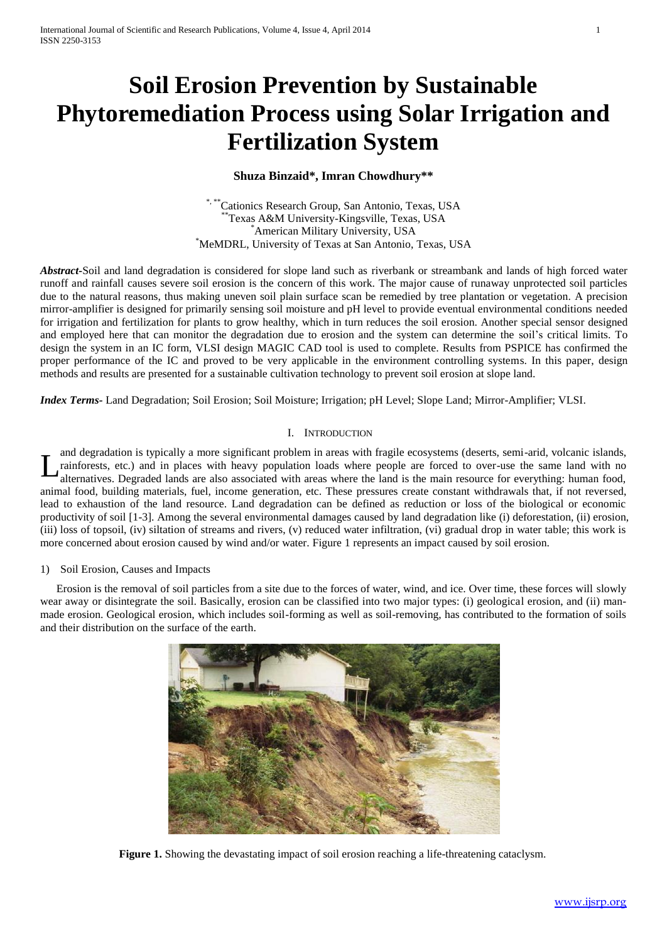# **Soil Erosion Prevention by Sustainable Phytoremediation Process using Solar Irrigation and Fertilization System**

## **Shuza Binzaid\*, Imran Chowdhury\*\***

 $^{\ast}$ Cationics Research Group, San Antonio, Texas, USA \*\*Texas A&M University-Kingsville, Texas, USA \*American Military University, USA \*MeMDRL, University of Texas at San Antonio, Texas, USA

*Abstract-*Soil and land degradation is considered for slope land such as riverbank or streambank and lands of high forced water runoff and rainfall causes severe soil erosion is the concern of this work. The major cause of runaway unprotected soil particles due to the natural reasons, thus making uneven soil plain surface scan be remedied by tree plantation or vegetation. A precision mirror-amplifier is designed for primarily sensing soil moisture and pH level to provide eventual environmental conditions needed for irrigation and fertilization for plants to grow healthy, which in turn reduces the soil erosion. Another special sensor designed and employed here that can monitor the degradation due to erosion and the system can determine the soil's critical limits. To design the system in an IC form, VLSI design MAGIC CAD tool is used to complete. Results from PSPICE has confirmed the proper performance of the IC and proved to be very applicable in the environment controlling systems. In this paper, design methods and results are presented for a sustainable cultivation technology to prevent soil erosion at slope land.

*Index Terms-* Land Degradation; Soil Erosion; Soil Moisture; Irrigation; pH Level; Slope Land; Mirror-Amplifier; VLSI.

## I. INTRODUCTION

and degradation is typically a more significant problem in areas with fragile ecosystems (deserts, semi-arid, volcanic islands, rainforests, etc.) and in places with heavy population loads where people are forced to over-use the same land with no alternatives. Degraded lands are also associated with areas where the land is the main resource for everything: human food, animal food, building materials, fuel, income generation, etc. These pressures create constant withdrawals that, if not reversed, lead to exhaustion of the land resource. Land degradation can be defined as reduction or loss of the biological or economic productivity of soil [1-3]. Among the several environmental damages caused by land degradation like (i) deforestation, (ii) erosion, (iii) loss of topsoil, (iv) siltation of streams and rivers, (v) reduced water infiltration, (vi) gradual drop in water table; this work is more concerned about erosion caused by wind and/or water. Figure 1 represents an impact caused by soil erosion. L

## 1) Soil Erosion, Causes and Impacts

Erosion is the removal of soil particles from a site due to the forces of water, wind, and ice. Over time, these forces will slowly wear away or disintegrate the soil. Basically, erosion can be classified into two major types: (i) geological erosion, and (ii) manmade erosion. Geological erosion, which includes soil-forming as well as soil-removing, has contributed to the formation of soils and their distribution on the surface of the earth.



**Figure 1.** Showing the devastating impact of soil erosion reaching a life-threatening cataclysm.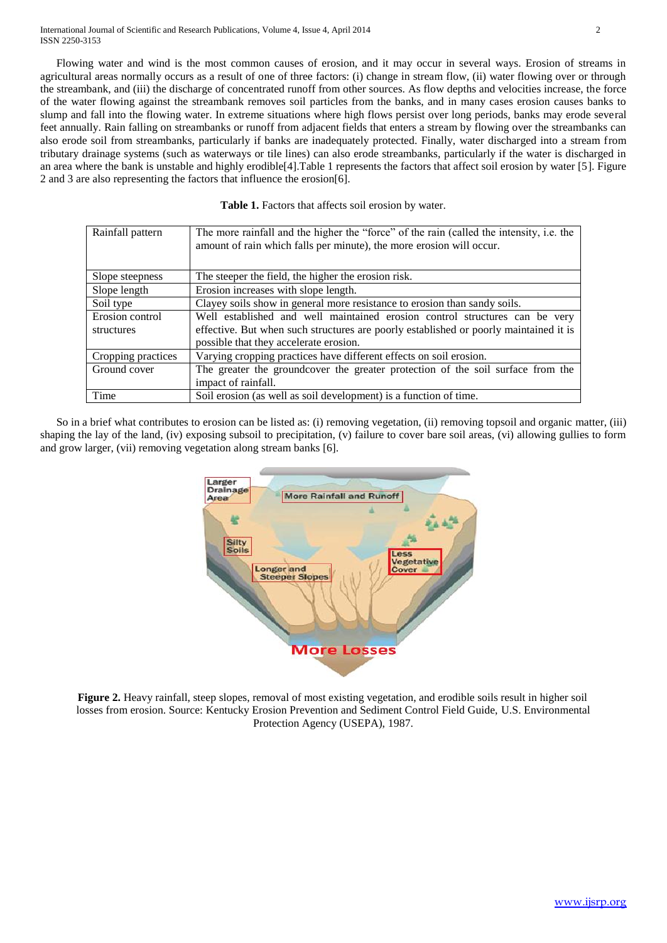Flowing water and wind is the most common causes of erosion, and it may occur in several ways. Erosion of streams in agricultural areas normally occurs as a result of one of three factors: (i) change in stream flow, (ii) water flowing over or through the streambank, and (iii) the discharge of concentrated runoff from other sources. As flow depths and velocities increase, the force of the water flowing against the streambank removes soil particles from the banks, and in many cases erosion causes banks to slump and fall into the flowing water. In extreme situations where high flows persist over long periods, banks may erode several feet annually. Rain falling on streambanks or runoff from adjacent fields that enters a stream by flowing over the streambanks can also erode soil from streambanks, particularly if banks are inadequately protected. Finally, water discharged into a stream from tributary drainage systems (such as waterways or tile lines) can also erode streambanks, particularly if the water is discharged in an area where the bank is unstable and highly erodible[4].Table 1 represents the factors that affect soil erosion by water [5]. Figure 2 and 3 are also representing the factors that influence the erosion[6].

|  |  | Table 1. Factors that affects soil erosion by water. |  |  |  |  |
|--|--|------------------------------------------------------|--|--|--|--|
|--|--|------------------------------------------------------|--|--|--|--|

| Rainfall pattern   | The more rainfall and the higher the "force" of the rain (called the intensity, i.e. the<br>amount of rain which falls per minute), the more erosion will occur. |  |
|--------------------|------------------------------------------------------------------------------------------------------------------------------------------------------------------|--|
| Slope steepness    | The steeper the field, the higher the erosion risk.                                                                                                              |  |
| Slope length       | Erosion increases with slope length.                                                                                                                             |  |
| Soil type          | Clayey soils show in general more resistance to erosion than sandy soils.                                                                                        |  |
| Erosion control    | Well established and well maintained erosion control structures can be very                                                                                      |  |
| structures         | effective. But when such structures are poorly established or poorly maintained it is                                                                            |  |
|                    | possible that they accelerate erosion.                                                                                                                           |  |
| Cropping practices | Varying cropping practices have different effects on soil erosion.                                                                                               |  |
| Ground cover       | The greater the groundcover the greater protection of the soil surface from the                                                                                  |  |
|                    | impact of rainfall.                                                                                                                                              |  |
| Time               | Soil erosion (as well as soil development) is a function of time.                                                                                                |  |

So in a brief what contributes to erosion can be listed as: (i) removing vegetation, (ii) removing topsoil and organic matter, (iii) shaping the lay of the land, (iv) exposing subsoil to precipitation, (v) failure to cover bare soil areas, (vi) allowing gullies to form and grow larger, (vii) removing vegetation along stream banks [6].



**Figure 2.** Heavy rainfall, steep slopes, removal of most existing vegetation, and erodible soils result in higher soil losses from erosion. Source: Kentucky Erosion Prevention and Sediment Control Field Guide, U.S. Environmental Protection Agency (USEPA), 1987.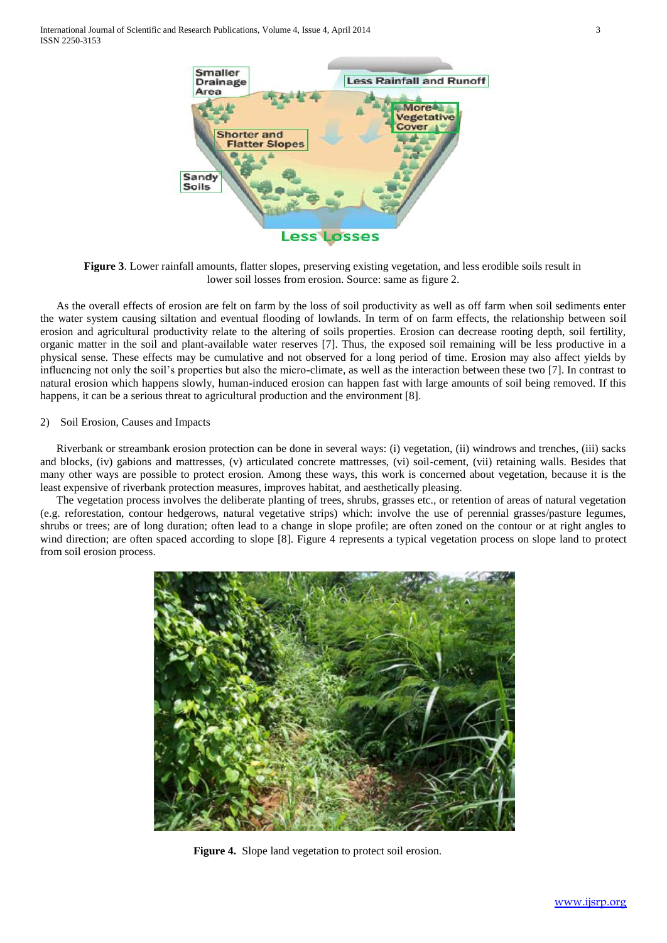International Journal of Scientific and Research Publications, Volume 4, Issue 4, April 2014 3 ISSN 2250-3153



**Figure 3**. Lower rainfall amounts, flatter slopes, preserving existing vegetation, and less erodible soils result in lower soil losses from erosion. Source: same as figure 2.

As the overall effects of erosion are felt on farm by the loss of soil productivity as well as off farm when soil sediments enter the water system causing siltation and eventual flooding of lowlands. In term of on farm effects, the relationship between soil erosion and agricultural productivity relate to the altering of soils properties. Erosion can decrease rooting depth, soil fertility, organic matter in the soil and plant-available water reserves [7]. Thus, the exposed soil remaining will be less productive in a physical sense. These effects may be cumulative and not observed for a long period of time. Erosion may also affect yields by influencing not only the soil's properties but also the micro-climate, as well as the interaction between these two [7]. In contrast to natural erosion which happens slowly, human-induced erosion can happen fast with large amounts of soil being removed. If this happens, it can be a serious threat to agricultural production and the environment [8].

#### 2) Soil Erosion, Causes and Impacts

Riverbank or streambank erosion protection can be done in several ways: (i) vegetation, (ii) windrows and trenches, (iii) sacks and blocks, (iv) gabions and mattresses, (v) articulated concrete mattresses, (vi) soil-cement, (vii) retaining walls. Besides that many other ways are possible to protect erosion. Among these ways, this work is concerned about vegetation, because it is the least expensive of riverbank protection measures, improves habitat, and aesthetically pleasing.

The vegetation process involves the deliberate planting of trees, shrubs, grasses etc., or retention of areas of natural vegetation (e.g. reforestation, contour hedgerows, natural vegetative strips) which: involve the use of perennial grasses/pasture legumes, shrubs or trees; are of long duration; often lead to a change in slope profile; are often zoned on the contour or at right angles to wind direction; are often spaced according to slope [8]. Figure 4 represents a typical vegetation process on slope land to protect from soil erosion process.



**Figure 4.** Slope land vegetation to protect soil erosion.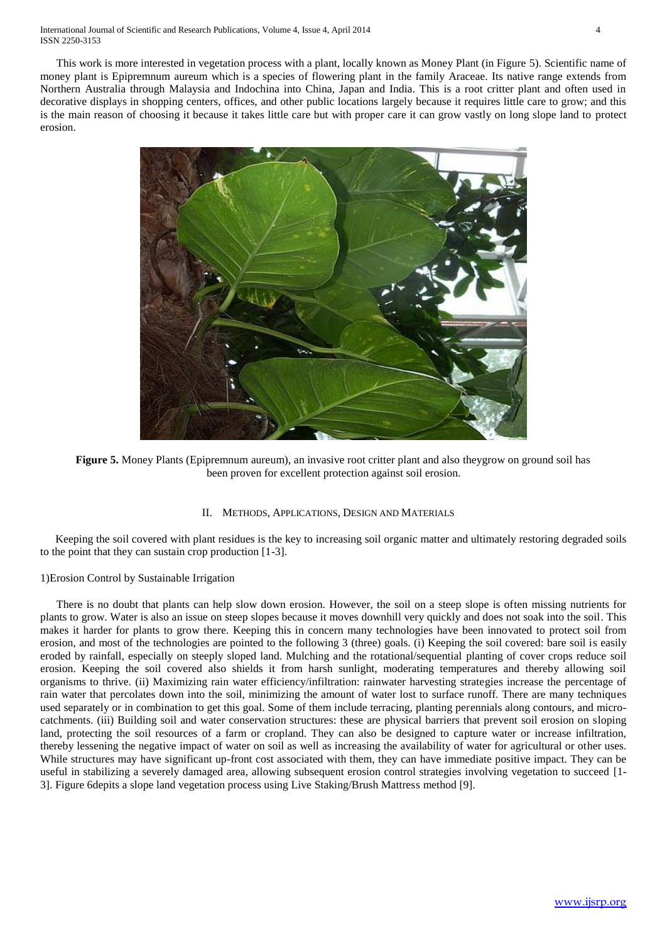This work is more interested in vegetation process with a plant, locally known as Money Plant (in Figure 5). Scientific name of money plant is Epipremnum aureum which is a species of flowering plant in the family Araceae. Its native range extends from Northern Australia through Malaysia and Indochina into China, Japan and India. This is a root critter plant and often used in decorative displays in shopping centers, offices, and other public locations largely because it requires little care to grow; and this is the main reason of choosing it because it takes little care but with proper care it can grow vastly on long slope land to protect erosion.



**Figure 5.** Money Plants (Epipremnum aureum), an invasive root critter plant and also theygrow on ground soil has been proven for excellent protection against soil erosion.

#### II. METHODS, APPLICATIONS, DESIGN AND MATERIALS

Keeping the soil covered with plant residues is the key to increasing soil organic matter and ultimately restoring degraded soils to the point that they can sustain crop production [1-3].

## 1)Erosion Control by Sustainable Irrigation

There is no doubt that plants can help slow down erosion. However, the soil on a steep slope is often missing nutrients for plants to grow. Water is also an issue on steep slopes because it moves downhill very quickly and does not soak into the soil. This makes it harder for plants to grow there. Keeping this in concern many technologies have been innovated to protect soil from erosion, and most of the technologies are pointed to the following 3 (three) goals. (i) Keeping the soil covered: bare soil is easily eroded by rainfall, especially on steeply sloped land. Mulching and the rotational/sequential planting of cover crops reduce soil erosion. Keeping the soil covered also shields it from harsh sunlight, moderating temperatures and thereby allowing soil organisms to thrive. (ii) Maximizing rain water efficiency/infiltration: rainwater harvesting strategies increase the percentage of rain water that percolates down into the soil, minimizing the amount of water lost to surface runoff. There are many techniques used separately or in combination to get this goal. Some of them include terracing, planting perennials along contours, and microcatchments. (iii) Building soil and water conservation structures: these are physical barriers that prevent soil erosion on sloping land, protecting the soil resources of a farm or cropland. They can also be designed to capture water or increase infiltration, thereby lessening the negative impact of water on soil as well as increasing the availability of water for agricultural or other uses. While structures may have significant up-front cost associated with them, they can have immediate positive impact. They can be useful in stabilizing a severely damaged area, allowing subsequent erosion control strategies involving vegetation to succeed [1- 3]. Figure 6depits a slope land vegetation process using Live Staking/Brush Mattress method [9].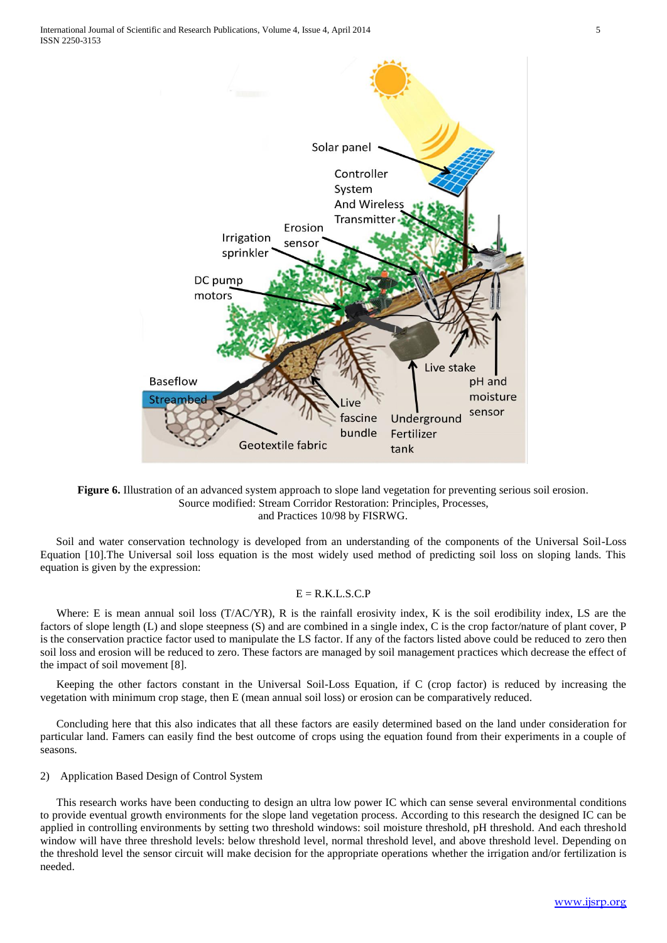

#### **Figure 6.** Illustration of an advanced system approach to slope land vegetation for preventing serious soil erosion. Source modified: Stream Corridor Restoration: Principles, Processes, and Practices 10/98 by FISRWG.

Soil and water conservation technology is developed from an understanding of the components of the Universal Soil-Loss Equation [10].The Universal soil loss equation is the most widely used method of predicting soil loss on sloping lands. This equation is given by the expression:

#### $E = R.K.L.S.C.P$

Where: E is mean annual soil loss (T/AC/YR), R is the rainfall erosivity index, K is the soil erodibility index, LS are the factors of slope length (L) and slope steepness (S) and are combined in a single index, C is the crop factor/nature of plant cover, P is the conservation practice factor used to manipulate the LS factor. If any of the factors listed above could be reduced to zero then soil loss and erosion will be reduced to zero. These factors are managed by soil management practices which decrease the effect of the impact of soil movement [8].

Keeping the other factors constant in the Universal Soil-Loss Equation, if C (crop factor) is reduced by increasing the vegetation with minimum crop stage, then E (mean annual soil loss) or erosion can be comparatively reduced.

Concluding here that this also indicates that all these factors are easily determined based on the land under consideration for particular land. Famers can easily find the best outcome of crops using the equation found from their experiments in a couple of seasons.

#### 2) Application Based Design of Control System

This research works have been conducting to design an ultra low power IC which can sense several environmental conditions to provide eventual growth environments for the slope land vegetation process. According to this research the designed IC can be applied in controlling environments by setting two threshold windows: soil moisture threshold, pH threshold. And each threshold window will have three threshold levels: below threshold level, normal threshold level, and above threshold level. Depending on the threshold level the sensor circuit will make decision for the appropriate operations whether the irrigation and/or fertilization is needed.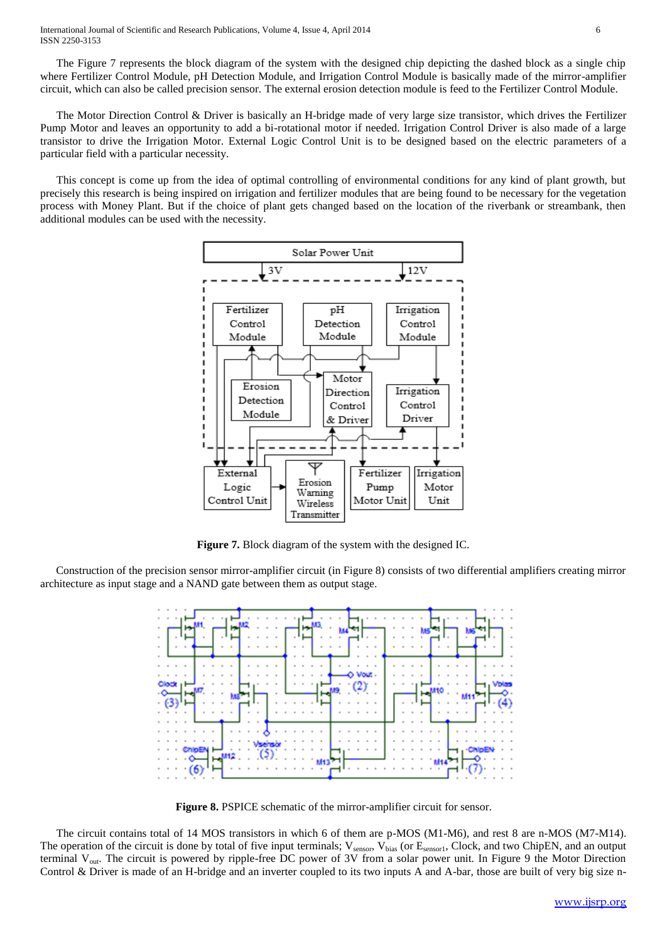The Figure 7 represents the block diagram of the system with the designed chip depicting the dashed block as a single chip where Fertilizer Control Module, pH Detection Module, and Irrigation Control Module is basically made of the mirror-amplifier circuit, which can also be called precision sensor. The external erosion detection module is feed to the Fertilizer Control Module.

The Motor Direction Control & Driver is basically an H-bridge made of very large size transistor, which drives the Fertilizer Pump Motor and leaves an opportunity to add a bi-rotational motor if needed. Irrigation Control Driver is also made of a large transistor to drive the Irrigation Motor. External Logic Control Unit is to be designed based on the electric parameters of a particular field with a particular necessity.

This concept is come up from the idea of optimal controlling of environmental conditions for any kind of plant growth, but precisely this research is being inspired on irrigation and fertilizer modules that are being found to be necessary for the vegetation process with Money Plant. But if the choice of plant gets changed based on the location of the riverbank or streambank, then additional modules can be used with the necessity.



**Figure 7.** Block diagram of the system with the designed IC.

Construction of the precision sensor mirror-amplifier circuit (in Figure 8) consists of two differential amplifiers creating mirror architecture as input stage and a NAND gate between them as output stage.



**Figure 8.** PSPICE schematic of the mirror-amplifier circuit for sensor.

The circuit contains total of 14 MOS transistors in which 6 of them are p-MOS (M1-M6), and rest 8 are n-MOS (M7-M14). The operation of the circuit is done by total of five input terminals; V<sub>sensor</sub>, V<sub>bias</sub> (or E<sub>sensor1</sub>, Clock, and two ChipEN, and an output terminal V<sub>out</sub>. The circuit is powered by ripple-free DC power of 3V from a solar power unit. In Figure 9 the Motor Direction Control & Driver is made of an H-bridge and an inverter coupled to its two inputs A and A-bar, those are built of very big size n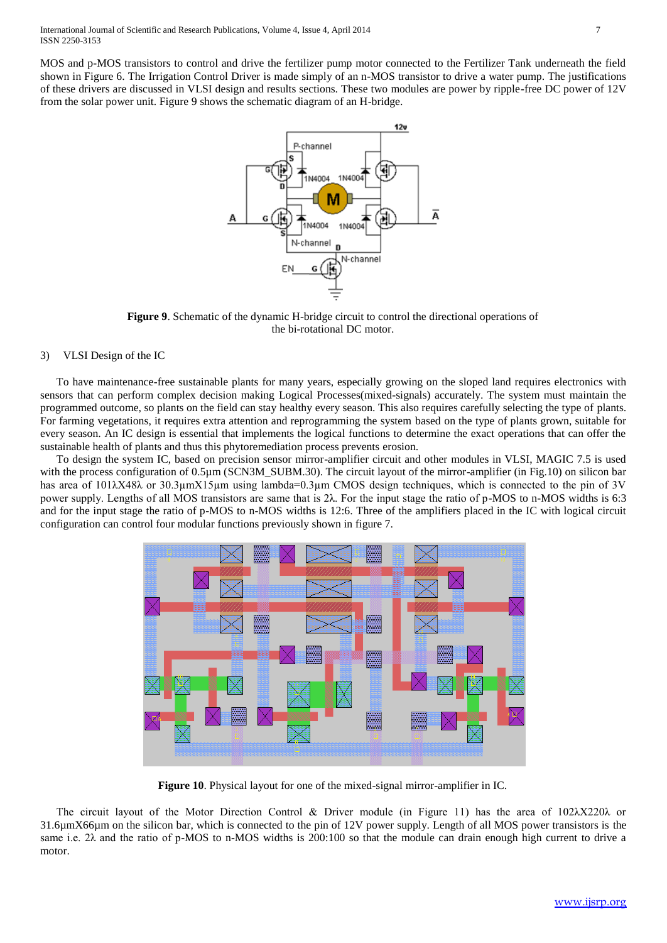MOS and p-MOS transistors to control and drive the fertilizer pump motor connected to the Fertilizer Tank underneath the field shown in Figure 6. The Irrigation Control Driver is made simply of an n-MOS transistor to drive a water pump. The justifications of these drivers are discussed in VLSI design and results sections. These two modules are power by ripple-free DC power of 12V from the solar power unit. Figure 9 shows the schematic diagram of an H-bridge.



**Figure 9**. Schematic of the dynamic H-bridge circuit to control the directional operations of the bi-rotational DC motor.

#### 3) VLSI Design of the IC

To have maintenance-free sustainable plants for many years, especially growing on the sloped land requires electronics with sensors that can perform complex decision making Logical Processes(mixed-signals) accurately. The system must maintain the programmed outcome, so plants on the field can stay healthy every season. This also requires carefully selecting the type of plants. For farming vegetations, it requires extra attention and reprogramming the system based on the type of plants grown, suitable for every season. An IC design is essential that implements the logical functions to determine the exact operations that can offer the sustainable health of plants and thus this phytoremediation process prevents erosion.

To design the system IC, based on precision sensor mirror-amplifier circuit and other modules in VLSI, MAGIC 7.5 is used with the process configuration of 0.5µm (SCN3M\_SUBM.30). The circuit layout of the mirror-amplifier (in Fig.10) on silicon bar has area of 101λΧ48λ or 30.3μmX15μm using lambda=0.3μm CMOS design techniques, which is connected to the pin of 3V power supply. Lengths of all MOS transistors are same that is 2λ. For the input stage the ratio of p-MOS to n-MOS widths is 6:3 and for the input stage the ratio of p-MOS to n-MOS widths is 12:6. Three of the amplifiers placed in the IC with logical circuit configuration can control four modular functions previously shown in figure 7.



**Figure 10**. Physical layout for one of the mixed-signal mirror-amplifier in IC.

The circuit layout of the Motor Direction Control & Driver module (in Figure 11) has the area of 102λX220λ or 31.6µmX66µm on the silicon bar, which is connected to the pin of 12V power supply. Length of all MOS power transistors is the same i.e. 2λ and the ratio of p-MOS to n-MOS widths is 200:100 so that the module can drain enough high current to drive a motor.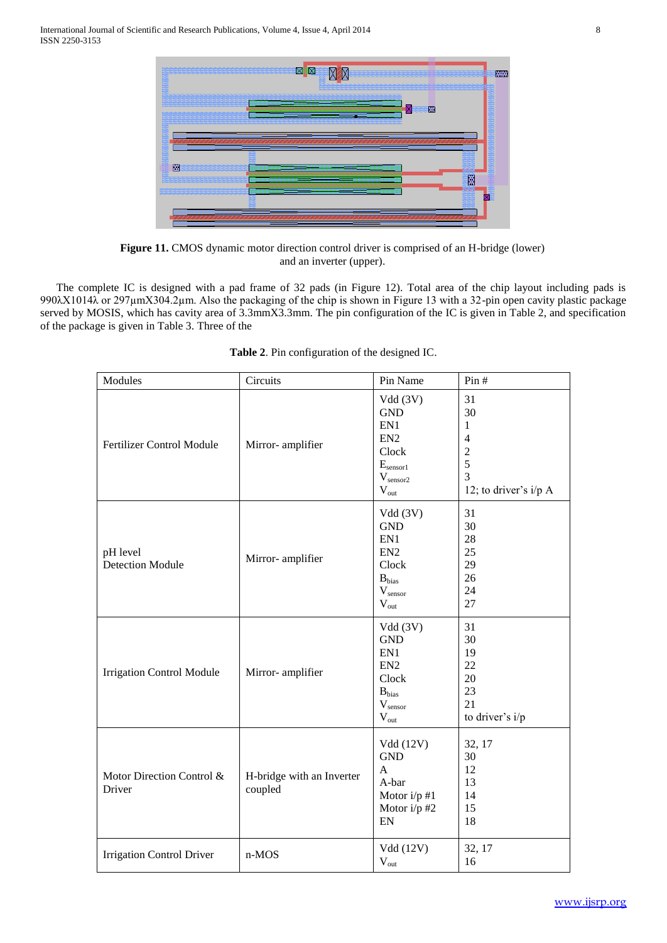

**Figure 11.** CMOS dynamic motor direction control driver is comprised of an H-bridge (lower) and an inverter (upper).

The complete IC is designed with a pad frame of 32 pads (in Figure 12). Total area of the chip layout including pads is 990λX1014λ or 297µmX304.2µm. Also the packaging of the chip is shown in Figure 13 with a 32-pin open cavity plastic package served by MOSIS, which has cavity area of 3.3mmX3.3mm. The pin configuration of the IC is given in Table 2, and specification of the package is given in Table 3. Three of the

| Modules                             | Circuits                             | Pin Name                                                                                                                        | Pin#                                                                                              |
|-------------------------------------|--------------------------------------|---------------------------------------------------------------------------------------------------------------------------------|---------------------------------------------------------------------------------------------------|
| Fertilizer Control Module           | Mirror- amplifier                    | Vdd (3V)<br><b>GND</b><br>EN1<br>EN <sub>2</sub><br>Clock<br>$E_{\text{sensor1}}$<br>$\mathbf{V}_{\text{sensor2}}$<br>$V_{out}$ | 31<br>30<br>$\mathbf{1}$<br>$\overline{4}$<br>$\overline{c}$<br>5<br>3<br>12; to driver's $i/p A$ |
| pH level<br><b>Detection Module</b> | Mirror- amplifier                    | Vdd(3V)<br><b>GND</b><br>EN1<br>EN <sub>2</sub><br>Clock<br>$B_{bias}$<br>$\mathbf{V}_{\text{sensor}}$<br>$V_{out}$             | 31<br>30<br>28<br>25<br>29<br>26<br>24<br>27                                                      |
| <b>Irrigation Control Module</b>    | Mirror- amplifier                    | Vdd(3V)<br><b>GND</b><br>EN1<br>EN <sub>2</sub><br>Clock<br>$B_{bias}$<br>$\rm V_{sensor}$<br>$\rm V_{out}$                     | 31<br>30<br>19<br>22<br>20<br>23<br>21<br>to driver's i/p                                         |
| Motor Direction Control &<br>Driver | H-bridge with an Inverter<br>coupled | Vdd (12V)<br><b>GND</b><br>$\mathbf{A}$<br>A-bar<br>Motor $i/p \n#1$<br>Motor i/p #2<br>EN                                      | 32, 17<br>30<br>12<br>13<br>14<br>15<br>18                                                        |
| <b>Irrigation Control Driver</b>    | n-MOS                                | Vdd (12V)<br>$V_{out}$                                                                                                          | 32, 17<br>16                                                                                      |

**Table 2**. Pin configuration of the designed IC.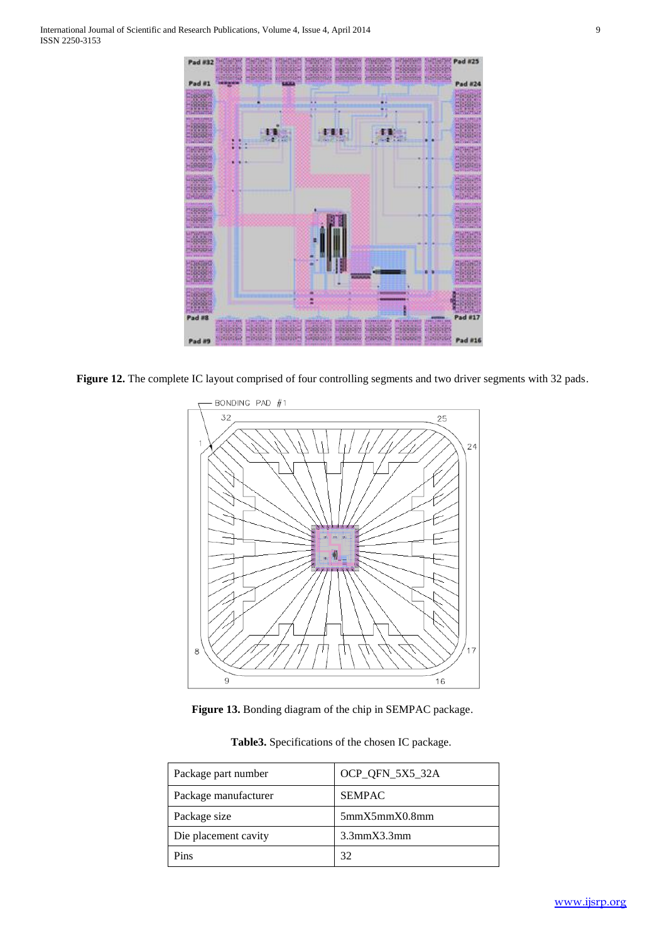

**Figure 12.** The complete IC layout comprised of four controlling segments and two driver segments with 32 pads.



**Figure 13.** Bonding diagram of the chip in SEMPAC package.

| Table 3. Specifications of the chosen IC package. |  |
|---------------------------------------------------|--|
|---------------------------------------------------|--|

| Package part number  | OCP_QFN_5X5_32A |  |  |
|----------------------|-----------------|--|--|
| Package manufacturer | <b>SEMPAC</b>   |  |  |
| Package size         | 5mmX5mmX0.8mm   |  |  |
| Die placement cavity | 3.3mmX3.3mm     |  |  |
| Pins                 | 32              |  |  |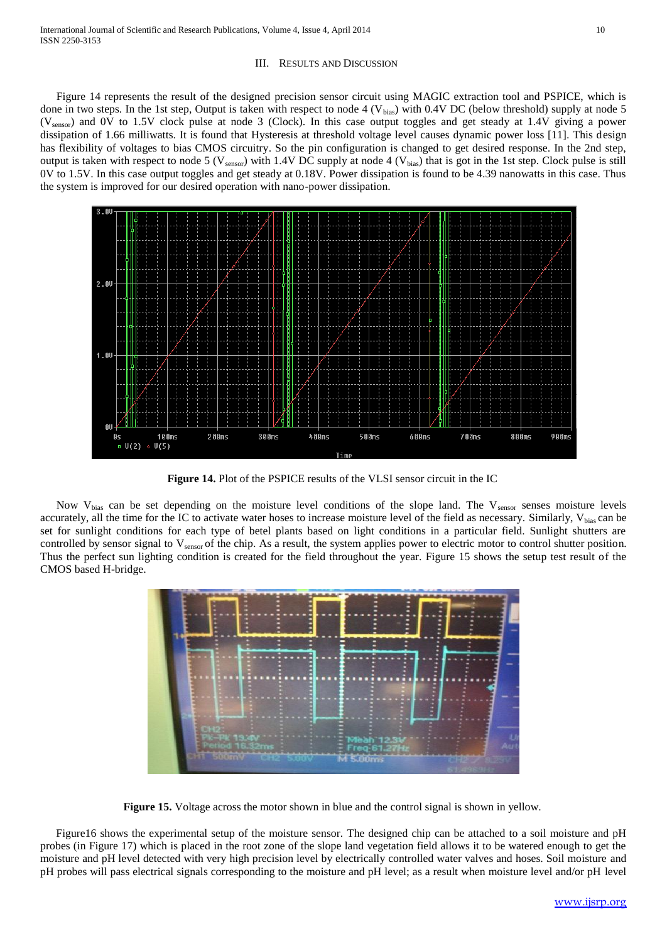#### III. RESULTS AND DISCUSSION

Figure 14 represents the result of the designed precision sensor circuit using MAGIC extraction tool and PSPICE, which is done in two steps. In the 1st step, Output is taken with respect to node 4 ( $V_{bias}$ ) with 0.4V DC (below threshold) supply at node 5 (Vsensor) and 0V to 1.5V clock pulse at node 3 (Clock). In this case output toggles and get steady at 1.4V giving a power dissipation of 1.66 milliwatts. It is found that Hysteresis at threshold voltage level causes dynamic power loss [11]. This design has flexibility of voltages to bias CMOS circuitry. So the pin configuration is changed to get desired response. In the 2nd step, output is taken with respect to node 5 ( $V_{\text{sensor}}$ ) with 1.4V DC supply at node 4 ( $V_{\text{bias}}$ ) that is got in the 1st step. Clock pulse is still 0V to 1.5V. In this case output toggles and get steady at 0.18V. Power dissipation is found to be 4.39 nanowatts in this case. Thus the system is improved for our desired operation with nano-power dissipation.



**Figure 14.** Plot of the PSPICE results of the VLSI sensor circuit in the IC

Now  $V_{bias}$  can be set depending on the moisture level conditions of the slope land. The  $V_{sensor}$  senses moisture levels accurately, all the time for the IC to activate water hoses to increase moisture level of the field as necessary. Similarly,  $V_{bias}$  can be set for sunlight conditions for each type of betel plants based on light conditions in a particular field. Sunlight shutters are controlled by sensor signal to V<sub>sensor</sub> of the chip. As a result, the system applies power to electric motor to control shutter position. Thus the perfect sun lighting condition is created for the field throughout the year. Figure 15 shows the setup test result of the CMOS based H-bridge.



**Figure 15.** Voltage across the motor shown in blue and the control signal is shown in yellow.

Figure16 shows the experimental setup of the moisture sensor. The designed chip can be attached to a soil moisture and pH probes (in Figure 17) which is placed in the root zone of the slope land vegetation field allows it to be watered enough to get the moisture and pH level detected with very high precision level by electrically controlled water valves and hoses. Soil moisture and pH probes will pass electrical signals corresponding to the moisture and pH level; as a result when moisture level and/or pH level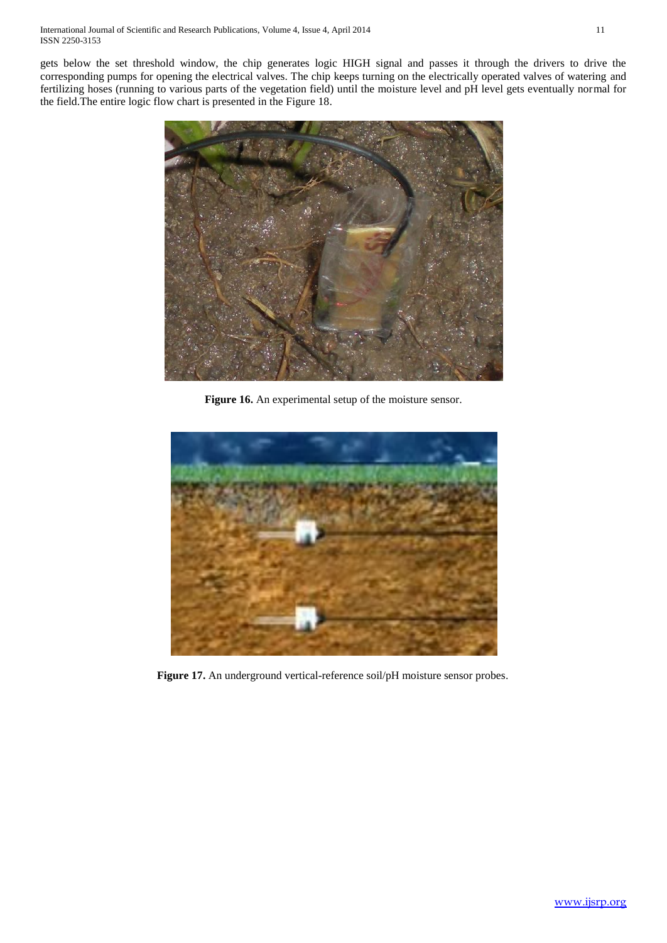gets below the set threshold window, the chip generates logic HIGH signal and passes it through the drivers to drive the corresponding pumps for opening the electrical valves. The chip keeps turning on the electrically operated valves of watering and fertilizing hoses (running to various parts of the vegetation field) until the moisture level and pH level gets eventually normal for the field.The entire logic flow chart is presented in the Figure 18.



**Figure 16.** An experimental setup of the moisture sensor.



**Figure 17.** An underground vertical-reference soil/pH moisture sensor probes.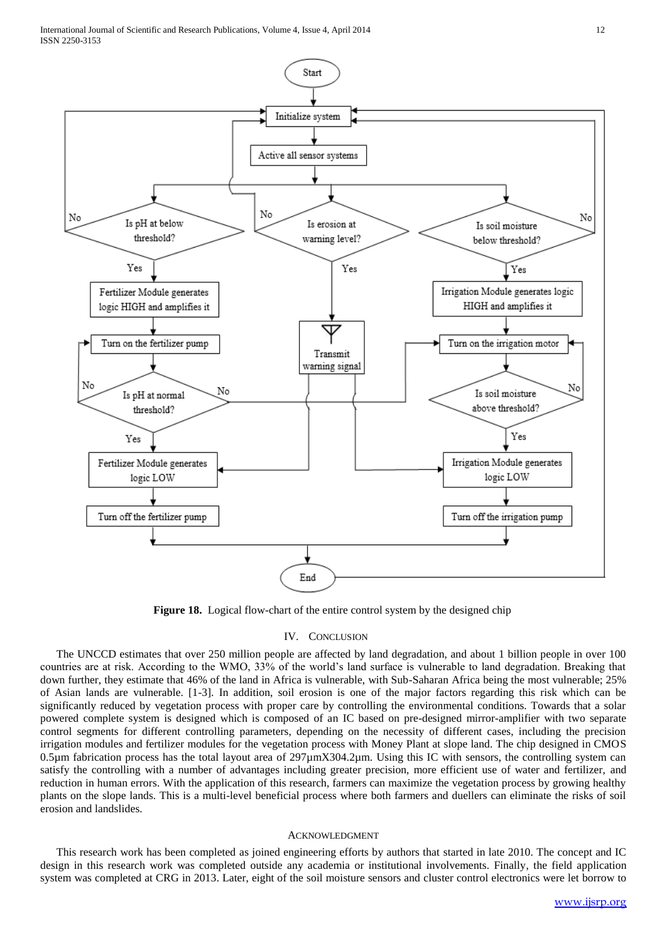

**Figure 18.** Logical flow-chart of the entire control system by the designed chip

#### IV. CONCLUSION

The UNCCD estimates that over 250 million people are affected by land degradation, and about 1 billion people in over 100 countries are at risk. According to the WMO, 33% of the world's land surface is vulnerable to land degradation. Breaking that down further, they estimate that 46% of the land in Africa is vulnerable, with Sub-Saharan Africa being the most vulnerable; 25% of Asian lands are vulnerable. [1-3]. In addition, soil erosion is one of the major factors regarding this risk which can be significantly reduced by vegetation process with proper care by controlling the environmental conditions. Towards that a solar powered complete system is designed which is composed of an IC based on pre-designed mirror-amplifier with two separate control segments for different controlling parameters, depending on the necessity of different cases, including the precision irrigation modules and fertilizer modules for the vegetation process with Money Plant at slope land. The chip designed in CMOS 0.5µm fabrication process has the total layout area of 297µmX304.2µm. Using this IC with sensors, the controlling system can satisfy the controlling with a number of advantages including greater precision, more efficient use of water and fertilizer, and reduction in human errors. With the application of this research, farmers can maximize the vegetation process by growing healthy plants on the slope lands. This is a multi-level beneficial process where both farmers and duellers can eliminate the risks of soil erosion and landslides.

#### ACKNOWLEDGMENT

This research work has been completed as joined engineering efforts by authors that started in late 2010. The concept and IC design in this research work was completed outside any academia or institutional involvements. Finally, the field application system was completed at CRG in 2013. Later, eight of the soil moisture sensors and cluster control electronics were let borrow to